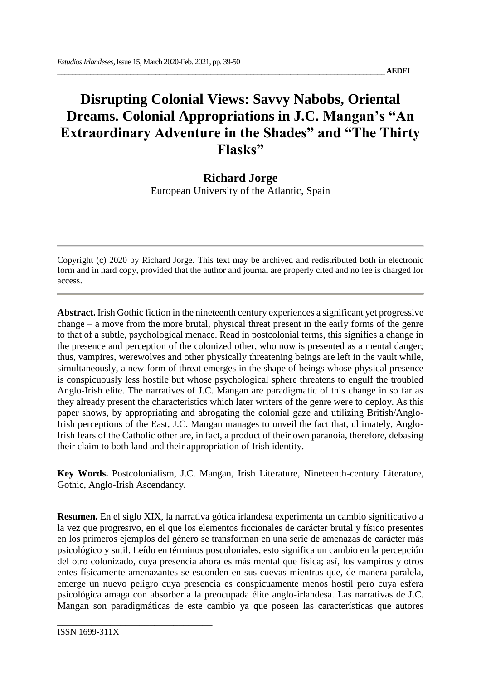## **Disrupting Colonial Views: Savvy Nabobs, Oriental Dreams. Colonial Appropriations in J.C. Mangan's "An Extraordinary Adventure in the Shades" and "The Thirty Flasks"**

## **Richard Jorge**

European University of the Atlantic, Spain

Copyright (c) 2020 by Richard Jorge. This text may be archived and redistributed both in electronic form and in hard copy, provided that the author and journal are properly cited and no fee is charged for access.

**Abstract.** Irish Gothic fiction in the nineteenth century experiences a significant yet progressive change – a move from the more brutal, physical threat present in the early forms of the genre to that of a subtle, psychological menace. Read in postcolonial terms, this signifies a change in the presence and perception of the colonized other, who now is presented as a mental danger; thus, vampires, werewolves and other physically threatening beings are left in the vault while, simultaneously, a new form of threat emerges in the shape of beings whose physical presence is conspicuously less hostile but whose psychological sphere threatens to engulf the troubled Anglo-Irish elite. The narratives of J.C. Mangan are paradigmatic of this change in so far as they already present the characteristics which later writers of the genre were to deploy. As this paper shows, by appropriating and abrogating the colonial gaze and utilizing British/Anglo-Irish perceptions of the East, J.C. Mangan manages to unveil the fact that, ultimately, Anglo-Irish fears of the Catholic other are, in fact, a product of their own paranoia, therefore, debasing their claim to both land and their appropriation of Irish identity.

**Key Words.** Postcolonialism, J.C. Mangan, Irish Literature, Nineteenth-century Literature, Gothic, Anglo-Irish Ascendancy.

**Resumen.** En el siglo XIX, la narrativa gótica irlandesa experimenta un cambio significativo a la vez que progresivo, en el que los elementos ficcionales de carácter brutal y físico presentes en los primeros ejemplos del género se transforman en una serie de amenazas de carácter más psicológico y sutil. Leído en términos poscoloniales, esto significa un cambio en la percepción del otro colonizado, cuya presencia ahora es más mental que física; así, los vampiros y otros entes físicamente amenazantes se esconden en sus cuevas mientras que, de manera paralela, emerge un nuevo peligro cuya presencia es conspicuamente menos hostil pero cuya esfera psicológica amaga con absorber a la preocupada élite anglo-irlandesa. Las narrativas de J.C. Mangan son paradigmáticas de este cambio ya que poseen las características que autores

\_\_\_\_\_\_\_\_\_\_\_\_\_\_\_\_\_\_\_\_\_\_\_\_\_\_\_\_\_\_\_\_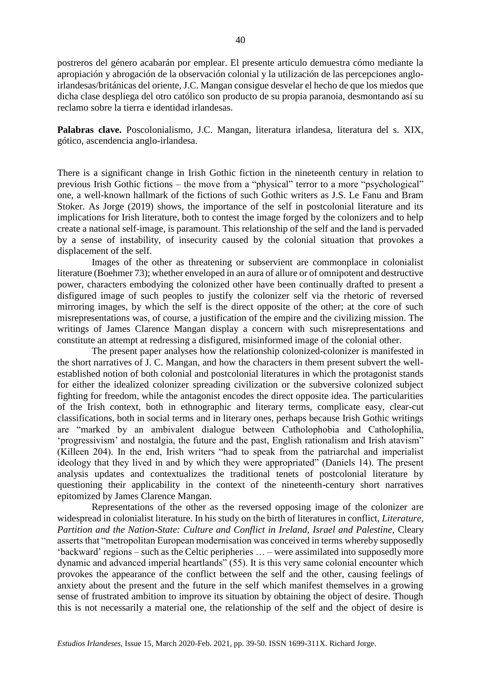postreros del género acabarán por emplear. El presente artículo demuestra cómo mediante la apropiación y abrogación de la observación colonial y la utilización de las percepciones angloirlandesas/británicas del oriente, J.C. Mangan consigue desvelar el hecho de que los miedos que dicha clase despliega del otro católico son producto de su propia paranoia, desmontando así su reclamo sobre la tierra e identidad irlandesas.

**Palabras clave.** Poscolonialismo, J.C. Mangan, literatura irlandesa, literatura del s. XIX, gótico, ascendencia anglo-irlandesa.

There is a significant change in Irish Gothic fiction in the nineteenth century in relation to previous Irish Gothic fictions – the move from a "physical" terror to a more "psychological" one, a well-known hallmark of the fictions of such Gothic writers as J.S. Le Fanu and Bram Stoker. As Jorge (2019) shows, the importance of the self in postcolonial literature and its implications for Irish literature, both to contest the image forged by the colonizers and to help create a national self-image, is paramount. This relationship of the self and the land is pervaded by a sense of instability, of insecurity caused by the colonial situation that provokes a displacement of the self.

Images of the other as threatening or subservient are commonplace in colonialist literature (Boehmer 73); whether enveloped in an aura of allure or of omnipotent and destructive power, characters embodying the colonized other have been continually drafted to present a disfigured image of such peoples to justify the colonizer self via the rhetoric of reversed mirroring images, by which the self is the direct opposite of the other; at the core of such misrepresentations was, of course, a justification of the empire and the civilizing mission. The writings of James Clarence Mangan display a concern with such misrepresentations and constitute an attempt at redressing a disfigured, misinformed image of the colonial other.

The present paper analyses how the relationship colonized-colonizer is manifested in the short narratives of J. C. Mangan, and how the characters in them present subvert the wellestablished notion of both colonial and postcolonial literatures in which the protagonist stands for either the idealized colonizer spreading civilization or the subversive colonized subject fighting for freedom, while the antagonist encodes the direct opposite idea. The particularities of the Irish context, both in ethnographic and literary terms, complicate easy, clear-cut classifications, both in social terms and in literary ones, perhaps because Irish Gothic writings are "marked by an ambivalent dialogue between Catholophobia and Catholophilia, 'progressivism' and nostalgia, the future and the past, English rationalism and Irish atavism" (Killeen 204). In the end, Irish writers "had to speak from the patriarchal and imperialist ideology that they lived in and by which they were appropriated" (Daniels 14). The present analysis updates and contextualizes the traditional tenets of postcolonial literature by questioning their applicability in the context of the nineteenth-century short narratives epitomized by James Clarence Mangan.

Representations of the other as the reversed opposing image of the colonizer are widespread in colonialist literature. In his study on the birth of literatures in conflict, *Literature, Partition and the Nation-State: Culture and Conflict in Ireland, Israel and Palestine,* Cleary asserts that "metropolitan European modernisation was conceived in terms whereby supposedly 'backward' regions – such as the Celtic peripheries … – were assimilated into supposedly more dynamic and advanced imperial heartlands" (55). It is this very same colonial encounter which provokes the appearance of the conflict between the self and the other, causing feelings of anxiety about the present and the future in the self which manifest themselves in a growing sense of frustrated ambition to improve its situation by obtaining the object of desire. Though this is not necessarily a material one, the relationship of the self and the object of desire is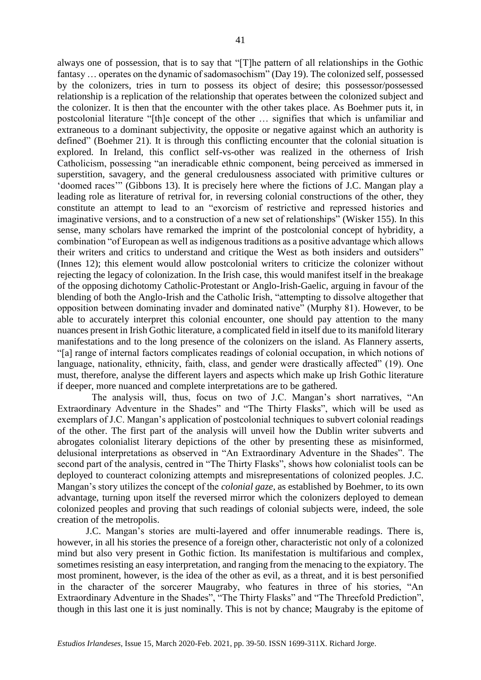always one of possession, that is to say that "[T]he pattern of all relationships in the Gothic fantasy … operates on the dynamic of sadomasochism" (Day 19). The colonized self, possessed by the colonizers, tries in turn to possess its object of desire; this possessor/possessed relationship is a replication of the relationship that operates between the colonized subject and the colonizer. It is then that the encounter with the other takes place. As Boehmer puts it, in postcolonial literature "[th]e concept of the other … signifies that which is unfamiliar and extraneous to a dominant subjectivity, the opposite or negative against which an authority is defined" (Boehmer 21). It is through this conflicting encounter that the colonial situation is explored. In Ireland, this conflict self-vs-other was realized in the otherness of Irish Catholicism, possessing "an ineradicable ethnic component, being perceived as immersed in superstition, savagery, and the general credulousness associated with primitive cultures or 'doomed races'" (Gibbons 13). It is precisely here where the fictions of J.C. Mangan play a leading role as literature of retrival for, in reversing colonial constructions of the other, they constitute an attempt to lead to an "exorcism of restrictive and repressed histories and imaginative versions, and to a construction of a new set of relationships" (Wisker 155). In this sense, many scholars have remarked the imprint of the postcolonial concept of hybridity, a combination "of European as well as indigenous traditions as a positive advantage which allows their writers and critics to understand and critique the West as both insiders and outsiders" (Innes 12); this element would allow postcolonial writers to criticize the colonizer without rejecting the legacy of colonization. In the Irish case, this would manifest itself in the breakage of the opposing dichotomy Catholic-Protestant or Anglo-Irish-Gaelic, arguing in favour of the blending of both the Anglo-Irish and the Catholic Irish, "attempting to dissolve altogether that opposition between dominating invader and dominated native" (Murphy 81). However, to be able to accurately interpret this colonial encounter, one should pay attention to the many nuances present in Irish Gothic literature, a complicated field in itself due to its manifold literary manifestations and to the long presence of the colonizers on the island. As Flannery asserts, "[a] range of internal factors complicates readings of colonial occupation, in which notions of language, nationality, ethnicity, faith, class, and gender were drastically affected" (19). One must, therefore, analyse the different layers and aspects which make up Irish Gothic literature if deeper, more nuanced and complete interpretations are to be gathered.

The analysis will, thus, focus on two of J.C. Mangan's short narratives, "An Extraordinary Adventure in the Shades" and "The Thirty Flasks", which will be used as exemplars of J.C. Mangan's application of postcolonial techniques to subvert colonial readings of the other. The first part of the analysis will unveil how the Dublin writer subverts and abrogates colonialist literary depictions of the other by presenting these as misinformed, delusional interpretations as observed in "An Extraordinary Adventure in the Shades". The second part of the analysis, centred in "The Thirty Flasks", shows how colonialist tools can be deployed to counteract colonizing attempts and misrepresentations of colonized peoples. J.C. Mangan's story utilizes the concept of the *colonial gaze,* as established by Boehmer, to its own advantage, turning upon itself the reversed mirror which the colonizers deployed to demean colonized peoples and proving that such readings of colonial subjects were, indeed, the sole creation of the metropolis.

J.C. Mangan's stories are multi-layered and offer innumerable readings. There is, however, in all his stories the presence of a foreign other, characteristic not only of a colonized mind but also very present in Gothic fiction. Its manifestation is multifarious and complex, sometimes resisting an easy interpretation, and ranging from the menacing to the expiatory. The most prominent, however, is the idea of the other as evil, as a threat, and it is best personified in the character of the sorcerer Maugraby, who features in three of his stories, "An Extraordinary Adventure in the Shades", "The Thirty Flasks" and "The Threefold Prediction", though in this last one it is just nominally. This is not by chance; Maugraby is the epitome of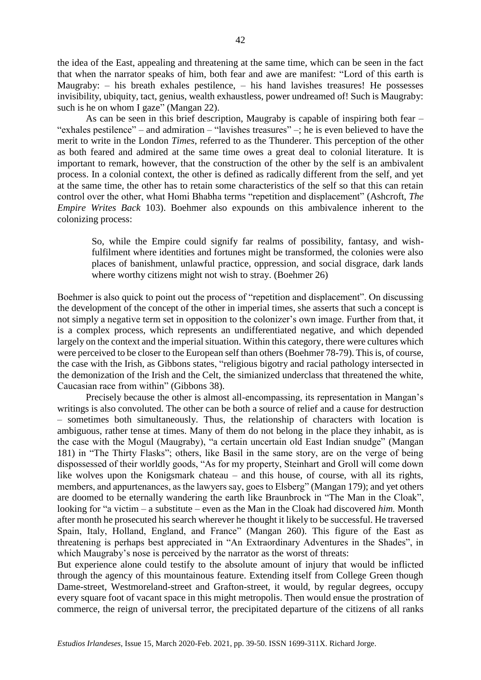the idea of the East, appealing and threatening at the same time, which can be seen in the fact that when the narrator speaks of him, both fear and awe are manifest: "Lord of this earth is Maugraby: – his breath exhales pestilence, – his hand lavishes treasures! He possesses invisibility, ubiquity, tact, genius, wealth exhaustless, power undreamed of! Such is Maugraby: such is he on whom I gaze" (Mangan 22).

As can be seen in this brief description, Maugraby is capable of inspiring both fear – "exhales pestilence" – and admiration – "lavishes treasures" –; he is even believed to have the merit to write in the London *Times*, referred to as the Thunderer. This perception of the other as both feared and admired at the same time owes a great deal to colonial literature. It is important to remark, however, that the construction of the other by the self is an ambivalent process. In a colonial context, the other is defined as radically different from the self, and yet at the same time, the other has to retain some characteristics of the self so that this can retain control over the other, what Homi Bhabha terms "repetition and displacement" (Ashcroft, *The Empire Writes Back* 103). Boehmer also expounds on this ambivalence inherent to the colonizing process:

So, while the Empire could signify far realms of possibility, fantasy, and wishfulfilment where identities and fortunes might be transformed, the colonies were also places of banishment, unlawful practice, oppression, and social disgrace, dark lands where worthy citizens might not wish to stray. (Boehmer 26)

Boehmer is also quick to point out the process of "repetition and displacement". On discussing the development of the concept of the other in imperial times, she asserts that such a concept is not simply a negative term set in opposition to the colonizer's own image. Further from that, it is a complex process, which represents an undifferentiated negative, and which depended largely on the context and the imperial situation. Within this category, there were cultures which were perceived to be closer to the European self than others (Boehmer 78-79). This is, of course, the case with the Irish, as Gibbons states, "religious bigotry and racial pathology intersected in the demonization of the Irish and the Celt, the simianized underclass that threatened the white, Caucasian race from within" (Gibbons 38).

Precisely because the other is almost all-encompassing, its representation in Mangan's writings is also convoluted. The other can be both a source of relief and a cause for destruction – sometimes both simultaneously. Thus, the relationship of characters with location is ambiguous, rather tense at times. Many of them do not belong in the place they inhabit, as is the case with the Mogul (Maugraby), "a certain uncertain old East Indian snudge" (Mangan 181) in "The Thirty Flasks"; others, like Basil in the same story, are on the verge of being dispossessed of their worldly goods, "As for my property, Steinhart and Groll will come down like wolves upon the Konigsmark chateau – and this house, of course, with all its rights, members, and appurtenances, as the lawyers say, goes to Elsberg" (Mangan 179); and yet others are doomed to be eternally wandering the earth like Braunbrock in "The Man in the Cloak", looking for "a victim – a substitute – even as the Man in the Cloak had discovered *him.* Month after month he prosecuted his search wherever he thought it likely to be successful. He traversed Spain, Italy, Holland, England, and France" (Mangan 260). This figure of the East as threatening is perhaps best appreciated in "An Extraordinary Adventures in the Shades", in which Maugraby's nose is perceived by the narrator as the worst of threats:

But experience alone could testify to the absolute amount of injury that would be inflicted through the agency of this mountainous feature. Extending itself from College Green though Dame-street, Westmoreland-street and Grafton-street, it would, by regular degrees, occupy every square foot of vacant space in this might metropolis. Then would ensue the prostration of commerce, the reign of universal terror, the precipitated departure of the citizens of all ranks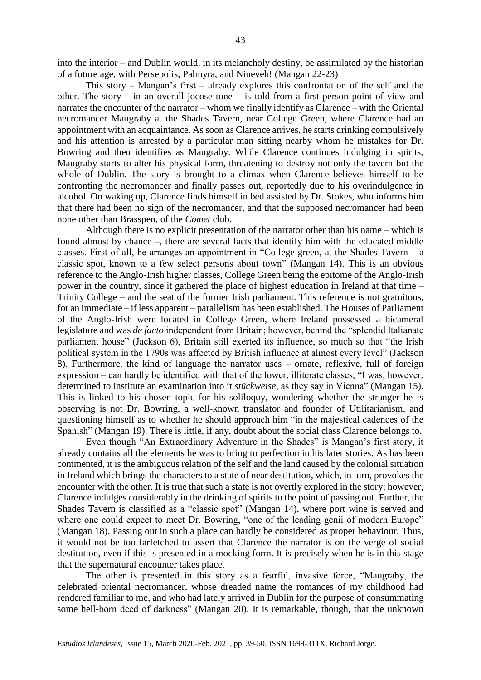into the interior – and Dublin would, in its melancholy destiny, be assimilated by the historian of a future age, with Persepolis, Palmyra, and Nineveh! (Mangan 22-23)

This story – Mangan's first – already explores this confrontation of the self and the other. The story – in an overall jocose tone – is told from a first-person point of view and narrates the encounter of the narrator – whom we finally identify as Clarence – with the Oriental necromancer Maugraby at the Shades Tavern, near College Green, where Clarence had an appointment with an acquaintance. As soon as Clarence arrives, he starts drinking compulsively and his attention is arrested by a particular man sitting nearby whom he mistakes for Dr. Bowring and then identifies as Maugraby. While Clarence continues indulging in spirits, Maugraby starts to alter his physical form, threatening to destroy not only the tavern but the whole of Dublin. The story is brought to a climax when Clarence believes himself to be confronting the necromancer and finally passes out, reportedly due to his overindulgence in alcohol. On waking up, Clarence finds himself in bed assisted by Dr. Stokes, who informs him that there had been no sign of the necromancer, and that the supposed necromancer had been none other than Brasspen, of the *Comet* club.

Although there is no explicit presentation of the narrator other than his name – which is found almost by chance –, there are several facts that identify him with the educated middle classes. First of all, he arranges an appointment in "College-green, at the Shades Tavern – a classic spot, known to a few select persons about town" (Mangan 14). This is an obvious reference to the Anglo-Irish higher classes, College Green being the epitome of the Anglo-Irish power in the country, since it gathered the place of highest education in Ireland at that time – Trinity College – and the seat of the former Irish parliament. This reference is not gratuitous, for an immediate – if less apparent – parallelism has been established. The Houses of Parliament of the Anglo-Irish were located in College Green, where Ireland possessed a bicameral legislature and was *de facto* independent from Britain; however, behind the "splendid Italianate parliament house" (Jackson 6), Britain still exerted its influence, so much so that "the Irish political system in the 1790s was affected by British influence at almost every level" (Jackson 8). Furthermore, the kind of language the narrator uses – ornate, reflexive, full of foreign expression – can hardly be identified with that of the lower, illiterate classes, "I was, however, determined to institute an examination into it *stückweise*, as they say in Vienna" (Mangan 15). This is linked to his chosen topic for his soliloquy, wondering whether the stranger he is observing is not Dr. Bowring, a well-known translator and founder of Utilitarianism, and questioning himself as to whether he should approach him "in the majestical cadences of the Spanish" (Mangan 19). There is little, if any, doubt about the social class Clarence belongs to.

Even though "An Extraordinary Adventure in the Shades" is Mangan's first story, it already contains all the elements he was to bring to perfection in his later stories. As has been commented, it is the ambiguous relation of the self and the land caused by the colonial situation in Ireland which brings the characters to a state of near destitution, which, in turn, provokes the encounter with the other. It is true that such a state is not overtly explored in the story; however, Clarence indulges considerably in the drinking of spirits to the point of passing out. Further, the Shades Tavern is classified as a "classic spot" (Mangan 14), where port wine is served and where one could expect to meet Dr. Bowring, "one of the leading genii of modern Europe" (Mangan 18). Passing out in such a place can hardly be considered as proper behaviour. Thus, it would not be too farfetched to assert that Clarence the narrator is on the verge of social destitution, even if this is presented in a mocking form. It is precisely when he is in this stage that the supernatural encounter takes place.

The other is presented in this story as a fearful, invasive force, "Maugraby, the celebrated oriental necromancer, whose dreaded name the romances of my childhood had rendered familiar to me, and who had lately arrived in Dublin for the purpose of consummating some hell-born deed of darkness" (Mangan 20). It is remarkable, though, that the unknown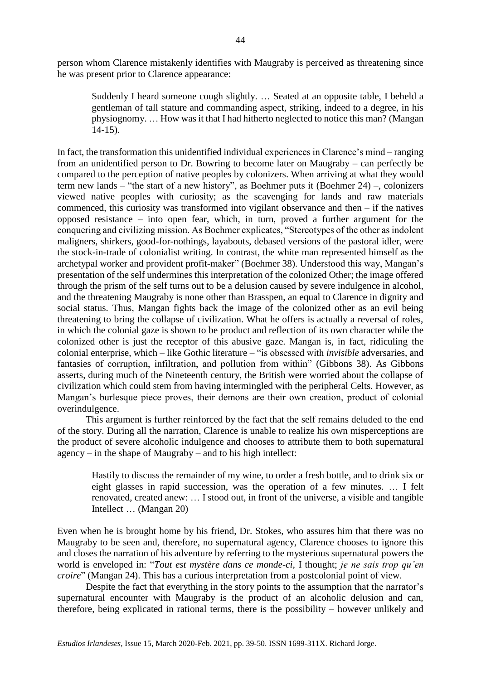person whom Clarence mistakenly identifies with Maugraby is perceived as threatening since he was present prior to Clarence appearance:

Suddenly I heard someone cough slightly. … Seated at an opposite table, I beheld a gentleman of tall stature and commanding aspect, striking, indeed to a degree, in his physiognomy. … How was it that I had hitherto neglected to notice this man? (Mangan 14-15).

In fact, the transformation this unidentified individual experiences in Clarence's mind – ranging from an unidentified person to Dr. Bowring to become later on Maugraby – can perfectly be compared to the perception of native peoples by colonizers. When arriving at what they would term new lands – "the start of a new history", as Boehmer puts it (Boehmer 24) –, colonizers viewed native peoples with curiosity; as the scavenging for lands and raw materials commenced, this curiosity was transformed into vigilant observance and then – if the natives opposed resistance – into open fear, which, in turn, proved a further argument for the conquering and civilizing mission. As Boehmer explicates, "Stereotypes of the other as indolent maligners, shirkers, good-for-nothings, layabouts, debased versions of the pastoral idler, were the stock-in-trade of colonialist writing. In contrast, the white man represented himself as the archetypal worker and provident profit-maker" (Boehmer 38). Understood this way, Mangan's presentation of the self undermines this interpretation of the colonized Other; the image offered through the prism of the self turns out to be a delusion caused by severe indulgence in alcohol, and the threatening Maugraby is none other than Brasspen, an equal to Clarence in dignity and social status. Thus, Mangan fights back the image of the colonized other as an evil being threatening to bring the collapse of civilization. What he offers is actually a reversal of roles, in which the colonial gaze is shown to be product and reflection of its own character while the colonized other is just the receptor of this abusive gaze. Mangan is, in fact, ridiculing the colonial enterprise, which – like Gothic literature – "is obsessed with *invisible* adversaries, and fantasies of corruption, infiltration, and pollution from within" (Gibbons 38). As Gibbons asserts, during much of the Nineteenth century, the British were worried about the collapse of civilization which could stem from having intermingled with the peripheral Celts. However, as Mangan's burlesque piece proves, their demons are their own creation, product of colonial overindulgence.

This argument is further reinforced by the fact that the self remains deluded to the end of the story. During all the narration, Clarence is unable to realize his own misperceptions are the product of severe alcoholic indulgence and chooses to attribute them to both supernatural agency – in the shape of Maugraby – and to his high intellect:

Hastily to discuss the remainder of my wine, to order a fresh bottle, and to drink six or eight glasses in rapid succession, was the operation of a few minutes. … I felt renovated, created anew: … I stood out, in front of the universe, a visible and tangible Intellect … (Mangan 20)

Even when he is brought home by his friend, Dr. Stokes, who assures him that there was no Maugraby to be seen and, therefore, no supernatural agency, Clarence chooses to ignore this and closes the narration of his adventure by referring to the mysterious supernatural powers the world is enveloped in: "*Tout est mystère dans ce monde-ci,* I thought; *je ne sais trop qu'en croire*" (Mangan 24). This has a curious interpretation from a postcolonial point of view.

Despite the fact that everything in the story points to the assumption that the narrator's supernatural encounter with Maugraby is the product of an alcoholic delusion and can, therefore, being explicated in rational terms, there is the possibility – however unlikely and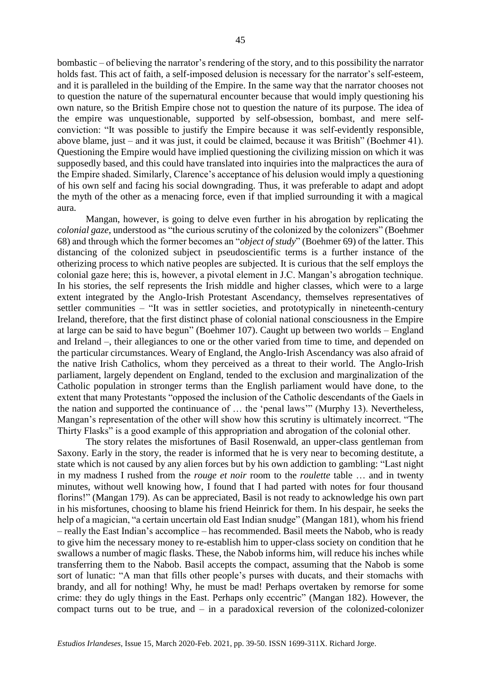bombastic – of believing the narrator's rendering of the story, and to this possibility the narrator holds fast. This act of faith, a self-imposed delusion is necessary for the narrator's self-esteem, and it is paralleled in the building of the Empire. In the same way that the narrator chooses not to question the nature of the supernatural encounter because that would imply questioning his own nature, so the British Empire chose not to question the nature of its purpose. The idea of the empire was unquestionable, supported by self-obsession, bombast, and mere selfconviction: "It was possible to justify the Empire because it was self-evidently responsible, above blame, just – and it was just, it could be claimed, because it was British" (Boehmer 41). Questioning the Empire would have implied questioning the civilizing mission on which it was supposedly based, and this could have translated into inquiries into the malpractices the aura of the Empire shaded. Similarly, Clarence's acceptance of his delusion would imply a questioning of his own self and facing his social downgrading. Thus, it was preferable to adapt and adopt the myth of the other as a menacing force, even if that implied surrounding it with a magical aura.

Mangan, however, is going to delve even further in his abrogation by replicating the *colonial gaze*, understood as "the curious scrutiny of the colonized by the colonizers" (Boehmer 68) and through which the former becomes an "*object of study*" (Boehmer 69) of the latter. This distancing of the colonized subject in pseudoscientific terms is a further instance of the otherizing process to which native peoples are subjected. It is curious that the self employs the colonial gaze here; this is, however, a pivotal element in J.C. Mangan's abrogation technique. In his stories, the self represents the Irish middle and higher classes, which were to a large extent integrated by the Anglo-Irish Protestant Ascendancy, themselves representatives of settler communities – "It was in settler societies, and prototypically in nineteenth-century Ireland, therefore, that the first distinct phase of colonial national consciousness in the Empire at large can be said to have begun" (Boehmer 107). Caught up between two worlds – England and Ireland –, their allegiances to one or the other varied from time to time, and depended on the particular circumstances. Weary of England, the Anglo-Irish Ascendancy was also afraid of the native Irish Catholics, whom they perceived as a threat to their world. The Anglo-Irish parliament, largely dependent on England, tended to the exclusion and marginalization of the Catholic population in stronger terms than the English parliament would have done, to the extent that many Protestants "opposed the inclusion of the Catholic descendants of the Gaels in the nation and supported the continuance of … the 'penal laws'" (Murphy 13). Nevertheless, Mangan's representation of the other will show how this scrutiny is ultimately incorrect. "The Thirty Flasks" is a good example of this appropriation and abrogation of the colonial other.

The story relates the misfortunes of Basil Rosenwald, an upper-class gentleman from Saxony. Early in the story, the reader is informed that he is very near to becoming destitute, a state which is not caused by any alien forces but by his own addiction to gambling: "Last night in my madness I rushed from the *rouge et noir* room to the *roulette* table … and in twenty minutes, without well knowing how, I found that I had parted with notes for four thousand florins!" (Mangan 179). As can be appreciated, Basil is not ready to acknowledge his own part in his misfortunes, choosing to blame his friend Heinrick for them. In his despair, he seeks the help of a magician, "a certain uncertain old East Indian snudge" (Mangan 181), whom his friend – really the East Indian's accomplice – has recommended. Basil meets the Nabob, who is ready to give him the necessary money to re-establish him to upper-class society on condition that he swallows a number of magic flasks. These, the Nabob informs him, will reduce his inches while transferring them to the Nabob. Basil accepts the compact, assuming that the Nabob is some sort of lunatic: "A man that fills other people's purses with ducats, and their stomachs with brandy, and all for nothing! Why, he must be mad! Perhaps overtaken by remorse for some crime: they do ugly things in the East. Perhaps only eccentric" (Mangan 182). However, the compact turns out to be true, and – in a paradoxical reversion of the colonized-colonizer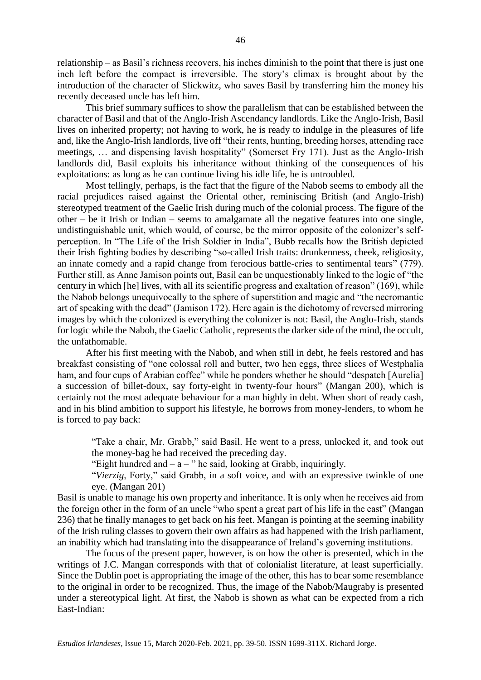relationship – as Basil's richness recovers, his inches diminish to the point that there is just one inch left before the compact is irreversible. The story's climax is brought about by the introduction of the character of Slickwitz, who saves Basil by transferring him the money his recently deceased uncle has left him.

This brief summary suffices to show the parallelism that can be established between the character of Basil and that of the Anglo-Irish Ascendancy landlords. Like the Anglo-Irish, Basil lives on inherited property; not having to work, he is ready to indulge in the pleasures of life and, like the Anglo-Irish landlords, live off "their rents, hunting, breeding horses, attending race meetings, … and dispensing lavish hospitality" (Somerset Fry 171). Just as the Anglo-Irish landlords did, Basil exploits his inheritance without thinking of the consequences of his exploitations: as long as he can continue living his idle life, he is untroubled.

Most tellingly, perhaps, is the fact that the figure of the Nabob seems to embody all the racial prejudices raised against the Oriental other, reminiscing British (and Anglo-Irish) stereotyped treatment of the Gaelic Irish during much of the colonial process. The figure of the other – be it Irish or Indian – seems to amalgamate all the negative features into one single, undistinguishable unit, which would, of course, be the mirror opposite of the colonizer's selfperception. In "The Life of the Irish Soldier in India", Bubb recalls how the British depicted their Irish fighting bodies by describing "so-called Irish traits: drunkenness, cheek, religiosity, an innate comedy and a rapid change from ferocious battle-cries to sentimental tears" (779). Further still, as Anne Jamison points out, Basil can be unquestionably linked to the logic of "the century in which [he] lives, with all its scientific progress and exaltation of reason" (169), while the Nabob belongs unequivocally to the sphere of superstition and magic and "the necromantic art of speaking with the dead" (Jamison 172). Here again is the dichotomy of reversed mirroring images by which the colonized is everything the colonizer is not: Basil, the Anglo-Irish, stands for logic while the Nabob, the Gaelic Catholic, represents the darker side of the mind, the occult, the unfathomable.

After his first meeting with the Nabob, and when still in debt, he feels restored and has breakfast consisting of "one colossal roll and butter, two hen eggs, three slices of Westphalia ham, and four cups of Arabian coffee" while he ponders whether he should "despatch [Aurelia] a succession of billet-doux, say forty-eight in twenty-four hours" (Mangan 200), which is certainly not the most adequate behaviour for a man highly in debt. When short of ready cash, and in his blind ambition to support his lifestyle, he borrows from money-lenders, to whom he is forced to pay back:

"Take a chair, Mr. Grabb," said Basil. He went to a press, unlocked it, and took out the money-bag he had received the preceding day.

"Eight hundred and  $- a -$ " he said, looking at Grabb, inquiringly.

"*Vierzig*, Forty," said Grabb, in a soft voice, and with an expressive twinkle of one eye. (Mangan 201)

Basil is unable to manage his own property and inheritance. It is only when he receives aid from the foreign other in the form of an uncle "who spent a great part of his life in the east" (Mangan 236) that he finally manages to get back on his feet. Mangan is pointing at the seeming inability of the Irish ruling classes to govern their own affairs as had happened with the Irish parliament, an inability which had translating into the disappearance of Ireland's governing institutions.

The focus of the present paper, however, is on how the other is presented, which in the writings of J.C. Mangan corresponds with that of colonialist literature, at least superficially. Since the Dublin poet is appropriating the image of the other, this has to bear some resemblance to the original in order to be recognized. Thus, the image of the Nabob/Maugraby is presented under a stereotypical light. At first, the Nabob is shown as what can be expected from a rich East-Indian: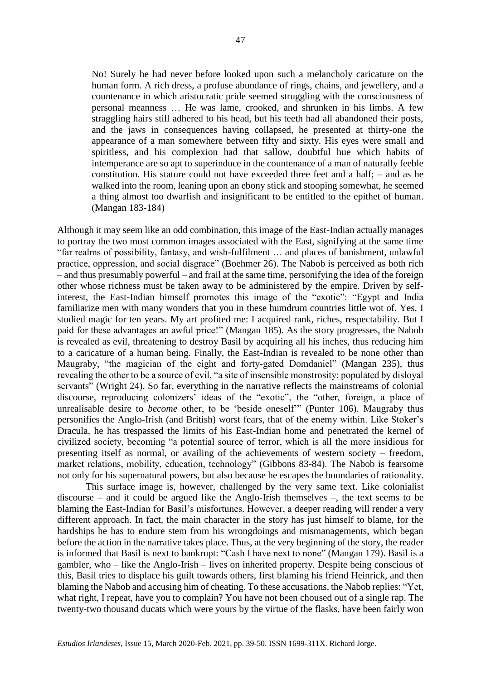No! Surely he had never before looked upon such a melancholy caricature on the human form. A rich dress, a profuse abundance of rings, chains, and jewellery, and a countenance in which aristocratic pride seemed struggling with the consciousness of personal meanness … He was lame, crooked, and shrunken in his limbs. A few straggling hairs still adhered to his head, but his teeth had all abandoned their posts, and the jaws in consequences having collapsed, he presented at thirty-one the appearance of a man somewhere between fifty and sixty. His eyes were small and spiritless, and his complexion had that sallow, doubtful hue which habits of intemperance are so apt to superinduce in the countenance of a man of naturally feeble constitution. His stature could not have exceeded three feet and a half; – and as he walked into the room, leaning upon an ebony stick and stooping somewhat, he seemed a thing almost too dwarfish and insignificant to be entitled to the epithet of human. (Mangan 183-184)

Although it may seem like an odd combination, this image of the East-Indian actually manages to portray the two most common images associated with the East, signifying at the same time "far realms of possibility, fantasy, and wish-fulfilment … and places of banishment, unlawful practice, oppression, and social disgrace" (Boehmer 26). The Nabob is perceived as both rich – and thus presumably powerful – and frail at the same time, personifying the idea of the foreign other whose richness must be taken away to be administered by the empire. Driven by selfinterest, the East-Indian himself promotes this image of the "exotic": "Egypt and India familiarize men with many wonders that you in these humdrum countries little wot of. Yes, I studied magic for ten years. My art profited me: I acquired rank, riches, respectability. But I paid for these advantages an awful price!" (Mangan 185). As the story progresses, the Nabob is revealed as evil, threatening to destroy Basil by acquiring all his inches, thus reducing him to a caricature of a human being. Finally, the East-Indian is revealed to be none other than Maugraby, "the magician of the eight and forty-gated Domdaniel" (Mangan 235), thus revealing the other to be a source of evil, "a site of insensible monstrosity: populated by disloyal servants" (Wright 24). So far, everything in the narrative reflects the mainstreams of colonial discourse, reproducing colonizers' ideas of the "exotic", the "other, foreign, a place of unrealisable desire to *become* other, to be 'beside oneself'" (Punter 106). Maugraby thus personifies the Anglo-Irish (and British) worst fears, that of the enemy within. Like Stoker's Dracula, he has trespassed the limits of his East-Indian home and penetrated the kernel of civilized society, becoming "a potential source of terror, which is all the more insidious for presenting itself as normal, or availing of the achievements of western society – freedom, market relations, mobility, education, technology" (Gibbons 83-84). The Nabob is fearsome not only for his supernatural powers, but also because he escapes the boundaries of rationality.

This surface image is, however, challenged by the very same text. Like colonialist discourse – and it could be argued like the Anglo-Irish themselves –, the text seems to be blaming the East-Indian for Basil's misfortunes. However, a deeper reading will render a very different approach. In fact, the main character in the story has just himself to blame, for the hardships he has to endure stem from his wrongdoings and mismanagements, which began before the action in the narrative takes place. Thus, at the very beginning of the story, the reader is informed that Basil is next to bankrupt: "Cash I have next to none" (Mangan 179). Basil is a gambler, who – like the Anglo-Irish – lives on inherited property. Despite being conscious of this, Basil tries to displace his guilt towards others, first blaming his friend Heinrick, and then blaming the Nabob and accusing him of cheating. To these accusations, the Nabob replies: "Yet, what right, I repeat, have you to complain? You have not been choused out of a single rap. The twenty-two thousand ducats which were yours by the virtue of the flasks, have been fairly won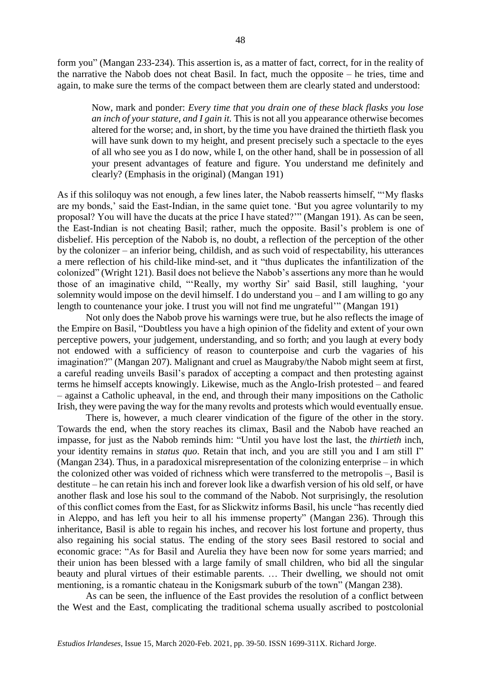form you" (Mangan 233-234). This assertion is, as a matter of fact, correct, for in the reality of the narrative the Nabob does not cheat Basil. In fact, much the opposite – he tries, time and again, to make sure the terms of the compact between them are clearly stated and understood:

Now, mark and ponder: *Every time that you drain one of these black flasks you lose an inch of your stature, and I gain it.* This is not all you appearance otherwise becomes altered for the worse; and, in short, by the time you have drained the thirtieth flask you will have sunk down to my height, and present precisely such a spectacle to the eyes of all who see you as I do now, while I, on the other hand, shall be in possession of all your present advantages of feature and figure. You understand me definitely and clearly? (Emphasis in the original) (Mangan 191)

As if this soliloquy was not enough, a few lines later, the Nabob reasserts himself, "'My flasks are my bonds,' said the East-Indian, in the same quiet tone. 'But you agree voluntarily to my proposal? You will have the ducats at the price I have stated?'" (Mangan 191). As can be seen, the East-Indian is not cheating Basil; rather, much the opposite. Basil's problem is one of disbelief. His perception of the Nabob is, no doubt, a reflection of the perception of the other by the colonizer – an inferior being, childish, and as such void of respectability, his utterances a mere reflection of his child-like mind-set, and it "thus duplicates the infantilization of the colonized" (Wright 121). Basil does not believe the Nabob's assertions any more than he would those of an imaginative child, "'Really, my worthy Sir' said Basil, still laughing, 'your solemnity would impose on the devil himself. I do understand you – and I am willing to go any length to countenance your joke. I trust you will not find me ungrateful'" (Mangan 191)

Not only does the Nabob prove his warnings were true, but he also reflects the image of the Empire on Basil, "Doubtless you have a high opinion of the fidelity and extent of your own perceptive powers, your judgement, understanding, and so forth; and you laugh at every body not endowed with a sufficiency of reason to counterpoise and curb the vagaries of his imagination?" (Mangan 207). Malignant and cruel as Maugraby/the Nabob might seem at first, a careful reading unveils Basil's paradox of accepting a compact and then protesting against terms he himself accepts knowingly. Likewise, much as the Anglo-Irish protested – and feared – against a Catholic upheaval, in the end, and through their many impositions on the Catholic Irish, they were paving the way for the many revolts and protests which would eventually ensue.

There is, however, a much clearer vindication of the figure of the other in the story. Towards the end, when the story reaches its climax, Basil and the Nabob have reached an impasse, for just as the Nabob reminds him: "Until you have lost the last, the *thirtieth* inch, your identity remains in *status quo*. Retain that inch, and you are still you and I am still I" (Mangan 234). Thus, in a paradoxical misrepresentation of the colonizing enterprise – in which the colonized other was voided of richness which were transferred to the metropolis –, Basil is destitute – he can retain his inch and forever look like a dwarfish version of his old self, or have another flask and lose his soul to the command of the Nabob. Not surprisingly, the resolution of this conflict comes from the East, for as Slickwitz informs Basil, his uncle "has recently died in Aleppo, and has left you heir to all his immense property" (Mangan 236). Through this inheritance, Basil is able to regain his inches, and recover his lost fortune and property, thus also regaining his social status. The ending of the story sees Basil restored to social and economic grace: "As for Basil and Aurelia they have been now for some years married; and their union has been blessed with a large family of small children, who bid all the singular beauty and plural virtues of their estimable parents. … Their dwelling, we should not omit mentioning, is a romantic chateau in the Konigsmark suburb of the town" (Mangan 238).

As can be seen, the influence of the East provides the resolution of a conflict between the West and the East, complicating the traditional schema usually ascribed to postcolonial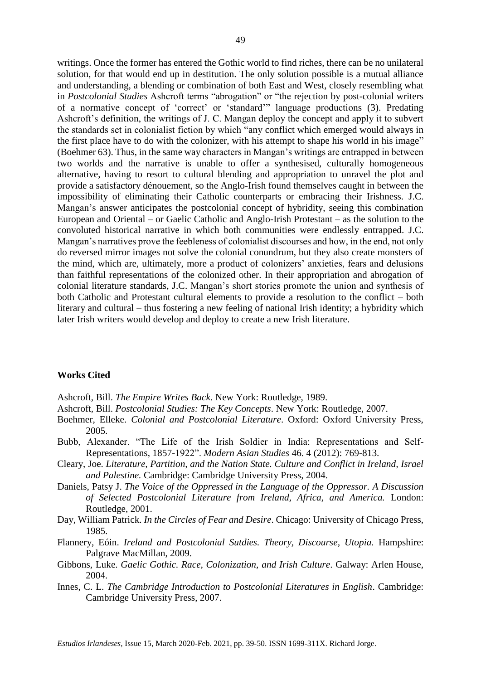writings. Once the former has entered the Gothic world to find riches, there can be no unilateral solution, for that would end up in destitution. The only solution possible is a mutual alliance and understanding, a blending or combination of both East and West, closely resembling what in *Postcolonial Studies* Ashcroft terms "abrogation" or "the rejection by post-colonial writers of a normative concept of 'correct' or 'standard'" language productions (3). Predating Ashcroft's definition, the writings of J. C. Mangan deploy the concept and apply it to subvert the standards set in colonialist fiction by which "any conflict which emerged would always in the first place have to do with the colonizer, with his attempt to shape his world in his image" (Boehmer 63). Thus, in the same way characters in Mangan's writings are entrapped in between two worlds and the narrative is unable to offer a synthesised, culturally homogeneous alternative, having to resort to cultural blending and appropriation to unravel the plot and provide a satisfactory dénouement, so the Anglo-Irish found themselves caught in between the impossibility of eliminating their Catholic counterparts or embracing their Irishness. J.C. Mangan's answer anticipates the postcolonial concept of hybridity, seeing this combination European and Oriental – or Gaelic Catholic and Anglo-Irish Protestant – as the solution to the convoluted historical narrative in which both communities were endlessly entrapped. J.C. Mangan's narratives prove the feebleness of colonialist discourses and how, in the end, not only do reversed mirror images not solve the colonial conundrum, but they also create monsters of the mind, which are, ultimately, more a product of colonizers' anxieties, fears and delusions than faithful representations of the colonized other. In their appropriation and abrogation of colonial literature standards, J.C. Mangan's short stories promote the union and synthesis of both Catholic and Protestant cultural elements to provide a resolution to the conflict – both literary and cultural – thus fostering a new feeling of national Irish identity; a hybridity which later Irish writers would develop and deploy to create a new Irish literature.

## **Works Cited**

Ashcroft, Bill. *The Empire Writes Back*. New York: Routledge, 1989.

- Ashcroft, Bill. *Postcolonial Studies: The Key Concepts*. New York: Routledge, 2007.
- Boehmer, Elleke. *Colonial and Postcolonial Literature*. Oxford: Oxford University Press, 2005.
- Bubb, Alexander. "The Life of the Irish Soldier in India: Representations and Self-Representations, 1857-1922". *Modern Asian Studies* 46. 4 (2012): 769-813.
- Cleary, Joe. *Literature, Partition, and the Nation State. Culture and Conflict in Ireland, Israel and Palestine.* Cambridge: Cambridge University Press, 2004.
- Daniels, Patsy J. *The Voice of the Oppressed in the Language of the Oppressor. A Discussion of Selected Postcolonial Literature from Ireland, Africa, and America.* London: Routledge, 2001.
- Day, William Patrick. *In the Circles of Fear and Desire*. Chicago: University of Chicago Press, 1985.
- Flannery, Eóin. *Ireland and Postcolonial Sutdies. Theory, Discourse, Utopia.* Hampshire: Palgrave MacMillan, 2009.
- Gibbons, Luke. *Gaelic Gothic. Race, Colonization, and Irish Culture*. Galway: Arlen House, 2004.
- Innes, C. L. *The Cambridge Introduction to Postcolonial Literatures in English*. Cambridge: Cambridge University Press, 2007.